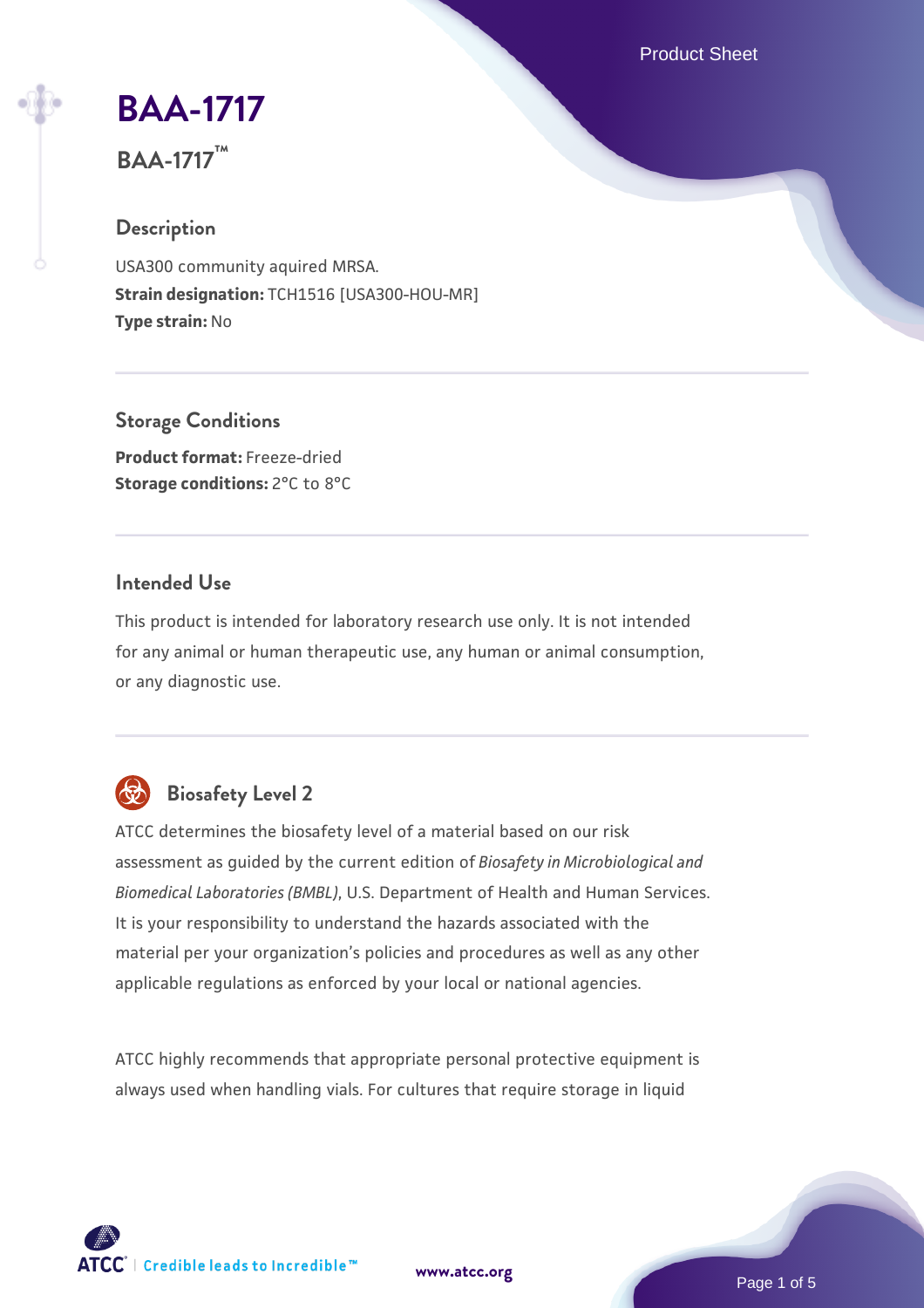Product Sheet

## **[BAA-1717](https://www.atcc.org/products/baa-1717)**

**BAA-1717™**

#### **Description**

USA300 community aquired MRSA. **Strain designation:** TCH1516 [USA300-HOU-MR] **Type strain:** No

#### **Storage Conditions**

**Product format:** Freeze-dried **Storage conditions:** 2°C to 8°C

#### **Intended Use**

This product is intended for laboratory research use only. It is not intended for any animal or human therapeutic use, any human or animal consumption, or any diagnostic use.

## **Biosafety Level 2**

ATCC determines the biosafety level of a material based on our risk assessment as guided by the current edition of *Biosafety in Microbiological and Biomedical Laboratories (BMBL)*, U.S. Department of Health and Human Services. It is your responsibility to understand the hazards associated with the material per your organization's policies and procedures as well as any other applicable regulations as enforced by your local or national agencies.

ATCC highly recommends that appropriate personal protective equipment is always used when handling vials. For cultures that require storage in liquid



**[www.atcc.org](http://www.atcc.org)**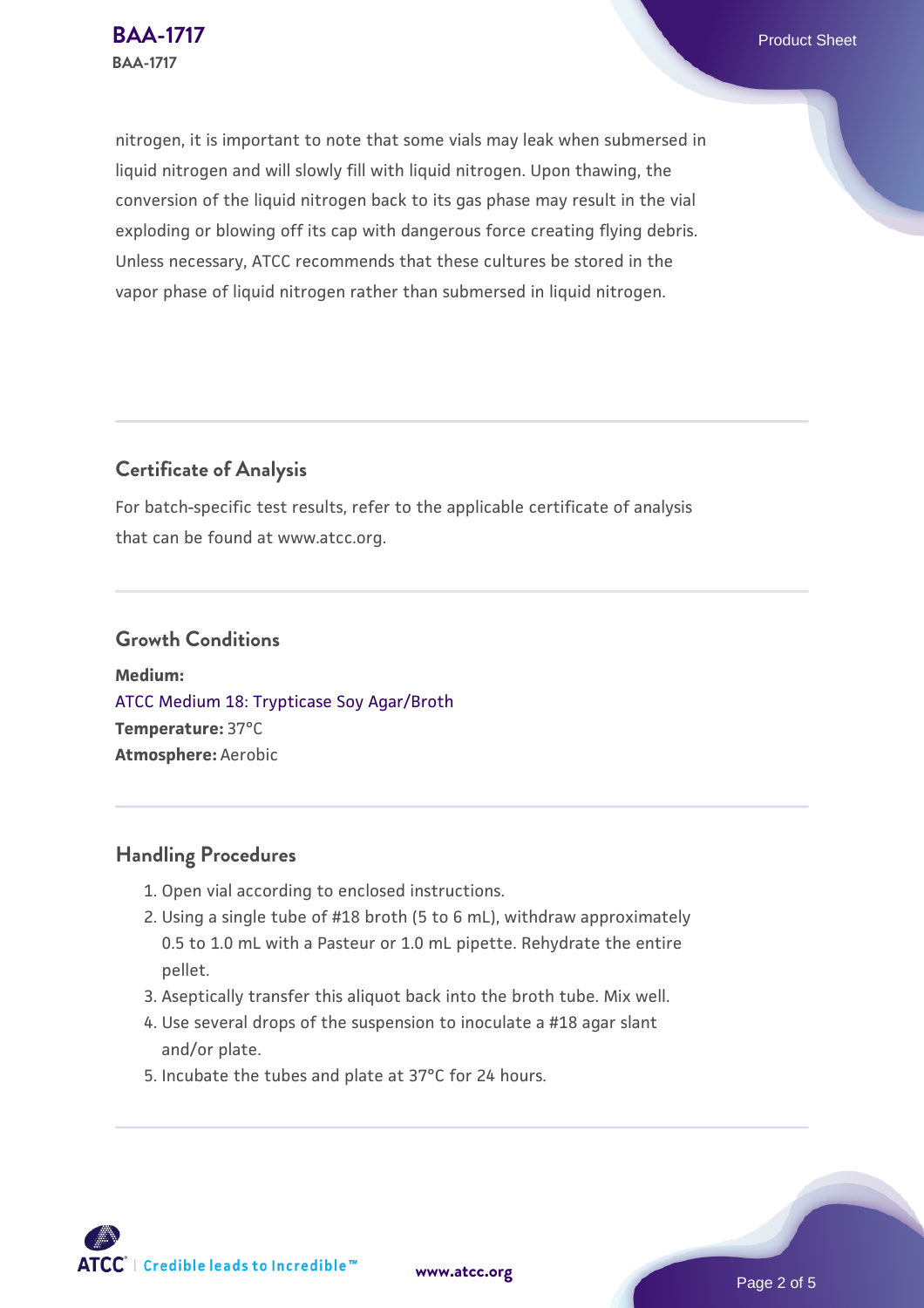nitrogen, it is important to note that some vials may leak when submersed in liquid nitrogen and will slowly fill with liquid nitrogen. Upon thawing, the conversion of the liquid nitrogen back to its gas phase may result in the vial exploding or blowing off its cap with dangerous force creating flying debris. Unless necessary, ATCC recommends that these cultures be stored in the vapor phase of liquid nitrogen rather than submersed in liquid nitrogen.

#### **Certificate of Analysis**

For batch-specific test results, refer to the applicable certificate of analysis that can be found at www.atcc.org.

#### **Growth Conditions**

**Medium:**  [ATCC Medium 18: Trypticase Soy Agar/Broth](https://www.atcc.org/-/media/product-assets/documents/microbial-media-formulations/1/8/atcc-medium-18.pdf?rev=832846e1425841f19fc70569848edae7) **Temperature:** 37°C **Atmosphere:** Aerobic

#### **Handling Procedures**

- 1. Open vial according to enclosed instructions.
- 2. Using a single tube of #18 broth (5 to 6 mL), withdraw approximately 0.5 to 1.0 mL with a Pasteur or 1.0 mL pipette. Rehydrate the entire pellet.
- 3. Aseptically transfer this aliquot back into the broth tube. Mix well.
- 4. Use several drops of the suspension to inoculate a #18 agar slant and/or plate.
- 5. Incubate the tubes and plate at 37°C for 24 hours.

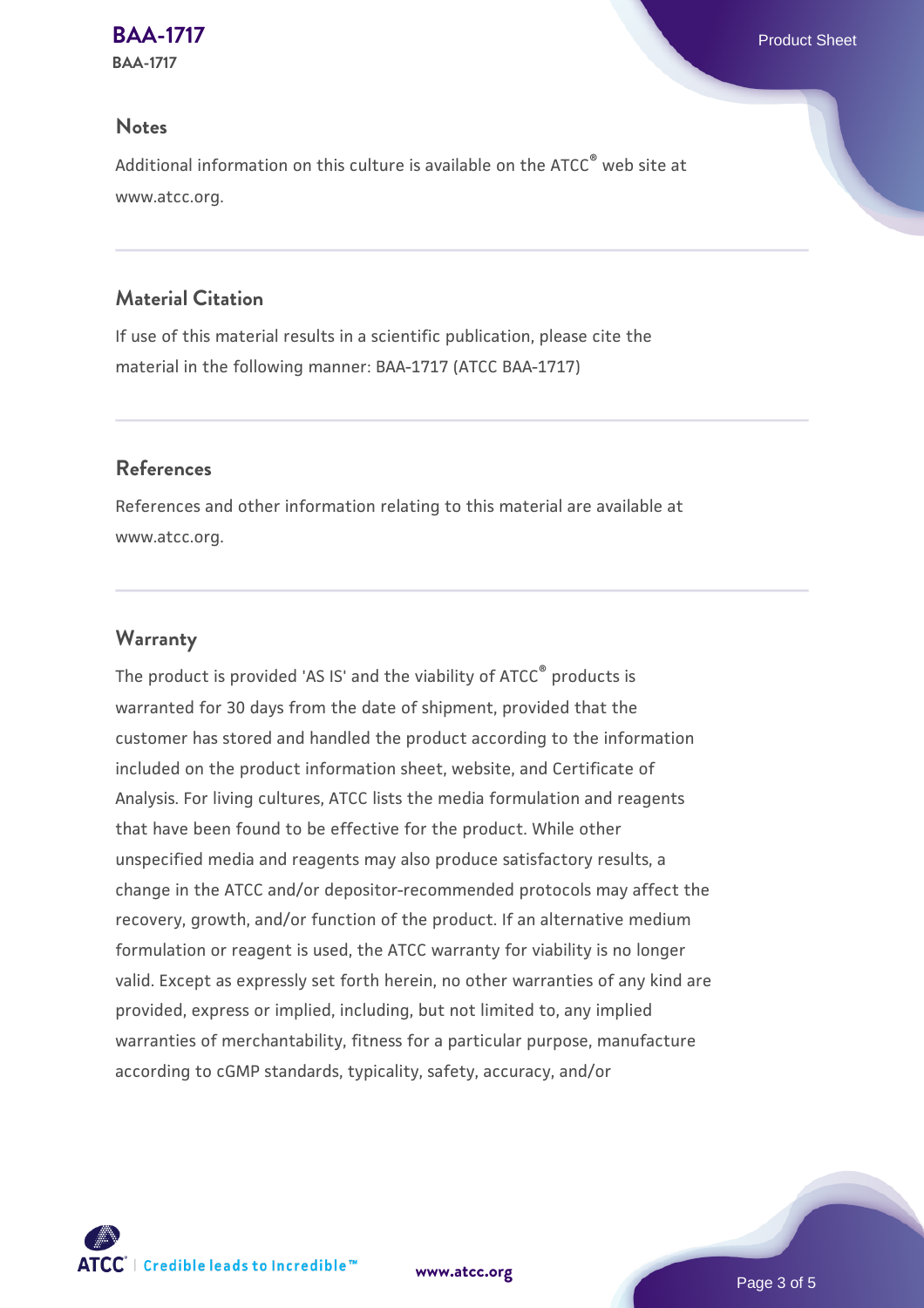# **[BAA-1717](https://www.atcc.org/products/baa-1717)** Product Sheet

**BAA-1717**

#### **Notes**

Additional information on this culture is available on the ATCC® web site at www.atcc.org.

#### **Material Citation**

If use of this material results in a scientific publication, please cite the material in the following manner: BAA-1717 (ATCC BAA-1717)

#### **References**

References and other information relating to this material are available at www.atcc.org.

#### **Warranty**

The product is provided 'AS IS' and the viability of ATCC<sup>®</sup> products is warranted for 30 days from the date of shipment, provided that the customer has stored and handled the product according to the information included on the product information sheet, website, and Certificate of Analysis. For living cultures, ATCC lists the media formulation and reagents that have been found to be effective for the product. While other unspecified media and reagents may also produce satisfactory results, a change in the ATCC and/or depositor-recommended protocols may affect the recovery, growth, and/or function of the product. If an alternative medium formulation or reagent is used, the ATCC warranty for viability is no longer valid. Except as expressly set forth herein, no other warranties of any kind are provided, express or implied, including, but not limited to, any implied warranties of merchantability, fitness for a particular purpose, manufacture according to cGMP standards, typicality, safety, accuracy, and/or



**[www.atcc.org](http://www.atcc.org)**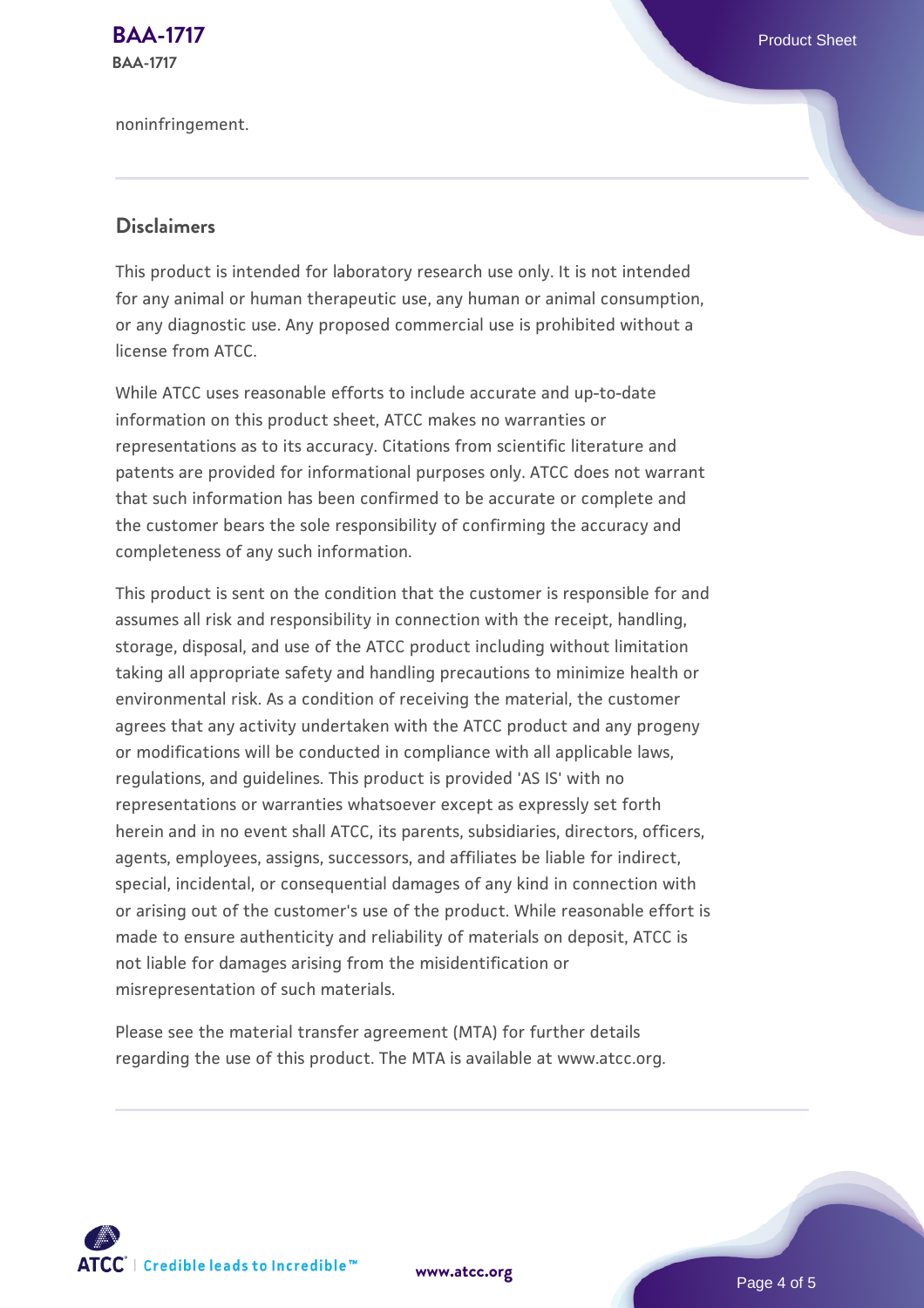**[BAA-1717](https://www.atcc.org/products/baa-1717)** Product Sheet **BAA-1717**

noninfringement.

#### **Disclaimers**

This product is intended for laboratory research use only. It is not intended for any animal or human therapeutic use, any human or animal consumption, or any diagnostic use. Any proposed commercial use is prohibited without a license from ATCC.

While ATCC uses reasonable efforts to include accurate and up-to-date information on this product sheet, ATCC makes no warranties or representations as to its accuracy. Citations from scientific literature and patents are provided for informational purposes only. ATCC does not warrant that such information has been confirmed to be accurate or complete and the customer bears the sole responsibility of confirming the accuracy and completeness of any such information.

This product is sent on the condition that the customer is responsible for and assumes all risk and responsibility in connection with the receipt, handling, storage, disposal, and use of the ATCC product including without limitation taking all appropriate safety and handling precautions to minimize health or environmental risk. As a condition of receiving the material, the customer agrees that any activity undertaken with the ATCC product and any progeny or modifications will be conducted in compliance with all applicable laws, regulations, and guidelines. This product is provided 'AS IS' with no representations or warranties whatsoever except as expressly set forth herein and in no event shall ATCC, its parents, subsidiaries, directors, officers, agents, employees, assigns, successors, and affiliates be liable for indirect, special, incidental, or consequential damages of any kind in connection with or arising out of the customer's use of the product. While reasonable effort is made to ensure authenticity and reliability of materials on deposit, ATCC is not liable for damages arising from the misidentification or misrepresentation of such materials.

Please see the material transfer agreement (MTA) for further details regarding the use of this product. The MTA is available at www.atcc.org.



**[www.atcc.org](http://www.atcc.org)**

Page 4 of 5